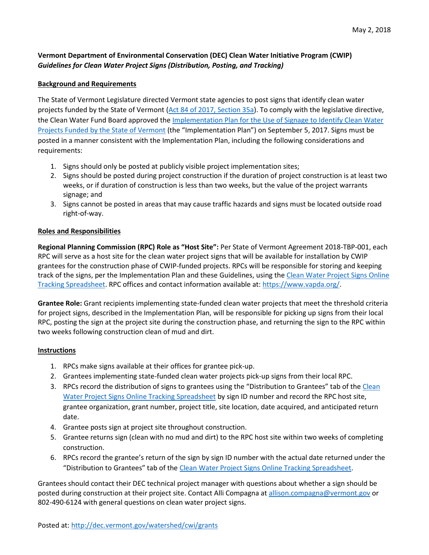## **Vermont Department of Environmental Conservation (DEC) Clean Water Initiative Program (CWIP)**  *Guidelines for Clean Water Project Signs (Distribution, Posting, and Tracking)*

## **Background and Requirements**

The State of Vermont Legislature directed Vermont state agencies to post signs that identify clean water projects funded by the State of Vermont [\(Act 84 of 2017, Section 35a\)](https://legislature.vermont.gov/assets/Documents/2018/Docs/ACTS/ACT084/ACT084%20As%20Enacted.pdf). To comply with the legislative directive, the Clean Water Fund Board approved the [Implementation Plan for the Use of Signage to Identify Clean Water](http://dec.vermont.gov/sites/dec/files/wsm/erp/docs/2017-09-05%20Clean-Water-Sign-Plan%20Final.pdf)  [Projects Funded by the State of Vermont](http://dec.vermont.gov/sites/dec/files/wsm/erp/docs/2017-09-05%20Clean-Water-Sign-Plan%20Final.pdf) (the "Implementation Plan") on September 5, 2017. Signs must be posted in a manner consistent with the Implementation Plan, including the following considerations and requirements:

- 1. Signs should only be posted at publicly visible project implementation sites;
- 2. Signs should be posted during project construction if the duration of project construction is at least two weeks, or if duration of construction is less than two weeks, but the value of the project warrants signage; and
- 3. Signs cannot be posted in areas that may cause traffic hazards and signs must be located outside road right-of-way.

## **Roles and Responsibilities**

**Regional Planning Commission (RPC) Role as "Host Site":** Per State of Vermont Agreement 2018-TBP-001, each RPC will serve as a host site for the clean water project signs that will be available for installation by CWIP grantees for the construction phase of CWIP-funded projects. RPCs will be responsible for storing and keeping track of the signs, per the Implementation Plan and these Guidelines, using the [Clean Water Project Signs Online](https://docs.google.com/spreadsheets/d/1uiUUkVJmCGuncwSrjMlEGiyg4kPv434ay2a9caacPiw/edit#gid=588222867)  [Tracking Spreadsheet.](https://docs.google.com/spreadsheets/d/1uiUUkVJmCGuncwSrjMlEGiyg4kPv434ay2a9caacPiw/edit#gid=588222867) RPC offices and contact information available at: [https://www.vapda.org/.](https://www.vapda.org/)

**Grantee Role:** Grant recipients implementing state-funded clean water projects that meet the threshold criteria for project signs, described in the Implementation Plan, will be responsible for picking up signs from their local RPC, posting the sign at the project site during the construction phase, and returning the sign to the RPC within two weeks following construction clean of mud and dirt.

## **Instructions**

- 1. RPCs make signs available at their offices for grantee pick-up.
- 2. Grantees implementing state-funded clean water projects pick-up signs from their local RPC.
- 3. RPCs record the distribution of signs to grantees using the "Distribution to Grantees" tab of the [Clean](https://docs.google.com/spreadsheets/d/1uiUUkVJmCGuncwSrjMlEGiyg4kPv434ay2a9caacPiw/edit#gid=0)  [Water Project Signs Online Tracking Spreadsheet](https://docs.google.com/spreadsheets/d/1uiUUkVJmCGuncwSrjMlEGiyg4kPv434ay2a9caacPiw/edit#gid=0) by sign ID number and record the RPC host site, grantee organization, grant number, project title, site location, date acquired, and anticipated return date.
- 4. Grantee posts sign at project site throughout construction.
- 5. Grantee returns sign (clean with no mud and dirt) to the RPC host site within two weeks of completing construction.
- 6. RPCs record the grantee's return of the sign by sign ID number with the actual date returned under the "Distribution to Grantees" tab of the [Clean Water Project Signs Online Tracking Spreadsheet.](https://docs.google.com/spreadsheets/d/1uiUUkVJmCGuncwSrjMlEGiyg4kPv434ay2a9caacPiw/edit#gid=0)

Grantees should contact their DEC technical project manager with questions about whether a sign should be posted during construction at their project site. Contact Alli Compagna a[t allison.compagna@vermont.gov](mailto:allison.compagna@vermont.gov) or 802-490-6124 with general questions on clean water project signs.